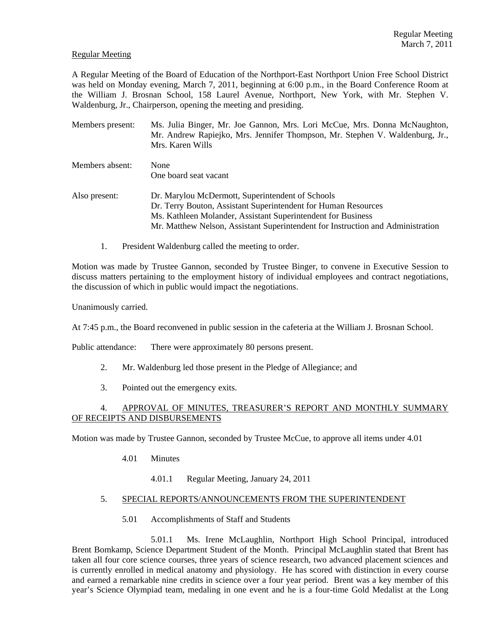## Regular Meeting

A Regular Meeting of the Board of Education of the Northport-East Northport Union Free School District was held on Monday evening, March 7, 2011, beginning at 6:00 p.m., in the Board Conference Room at the William J. Brosnan School, 158 Laurel Avenue, Northport, New York, with Mr. Stephen V. Waldenburg, Jr., Chairperson, opening the meeting and presiding.

- Members present: Ms. Julia Binger, Mr. Joe Gannon, Mrs. Lori McCue, Mrs. Donna McNaughton, Mr. Andrew Rapiejko, Mrs. Jennifer Thompson, Mr. Stephen V. Waldenburg, Jr., Mrs. Karen Wills Members absent: None One board seat vacant Also present: Dr. Marylou McDermott, Superintendent of Schools Dr. Terry Bouton, Assistant Superintendent for Human Resources Ms. Kathleen Molander, Assistant Superintendent for Business Mr. Matthew Nelson, Assistant Superintendent for Instruction and Administration
	- 1. President Waldenburg called the meeting to order.

Motion was made by Trustee Gannon, seconded by Trustee Binger, to convene in Executive Session to discuss matters pertaining to the employment history of individual employees and contract negotiations, the discussion of which in public would impact the negotiations.

Unanimously carried.

At 7:45 p.m., the Board reconvened in public session in the cafeteria at the William J. Brosnan School.

Public attendance: There were approximately 80 persons present.

- 2. Mr. Waldenburg led those present in the Pledge of Allegiance; and
- 3. Pointed out the emergency exits.

# 4. APPROVAL OF MINUTES, TREASURER'S REPORT AND MONTHLY SUMMARY OF RECEIPTS AND DISBURSEMENTS

Motion was made by Trustee Gannon, seconded by Trustee McCue, to approve all items under 4.01

- 4.01 Minutes
	- 4.01.1 Regular Meeting, January 24, 2011

# 5. SPECIAL REPORTS/ANNOUNCEMENTS FROM THE SUPERINTENDENT

5.01 Accomplishments of Staff and Students

 5.01.1 Ms. Irene McLaughlin, Northport High School Principal, introduced Brent Bomkamp, Science Department Student of the Month. Principal McLaughlin stated that Brent has taken all four core science courses, three years of science research, two advanced placement sciences and is currently enrolled in medical anatomy and physiology. He has scored with distinction in every course and earned a remarkable nine credits in science over a four year period. Brent was a key member of this year's Science Olympiad team, medaling in one event and he is a four-time Gold Medalist at the Long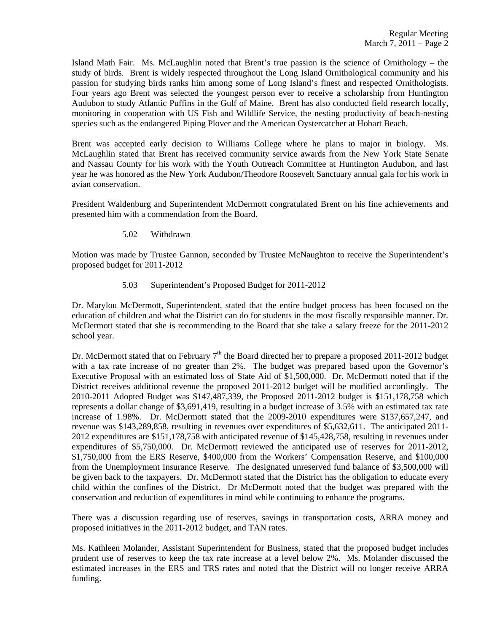Island Math Fair. Ms. McLaughlin noted that Brent's true passion is the science of Ornithology – the study of birds. Brent is widely respected throughout the Long Island Ornithological community and his passion for studying birds ranks him among some of Long Island's finest and respected Ornithologists. Four years ago Brent was selected the youngest person ever to receive a scholarship from Huntington Audubon to study Atlantic Puffins in the Gulf of Maine. Brent has also conducted field research locally, monitoring in cooperation with US Fish and Wildlife Service, the nesting productivity of beach-nesting species such as the endangered Piping Plover and the American Oystercatcher at Hobart Beach.

Brent was accepted early decision to Williams College where he plans to major in biology. Ms. McLaughlin stated that Brent has received community service awards from the New York State Senate and Nassau County for his work with the Youth Outreach Committee at Huntington Audubon, and last year he was honored as the New York Audubon/Theodore Roosevelt Sanctuary annual gala for his work in avian conservation.

President Waldenburg and Superintendent McDermott congratulated Brent on his fine achievements and presented him with a commendation from the Board.

5.02 Withdrawn

Motion was made by Trustee Gannon, seconded by Trustee McNaughton to receive the Superintendent's proposed budget for 2011-2012

5.03 Superintendent's Proposed Budget for 2011-2012

Dr. Marylou McDermott, Superintendent, stated that the entire budget process has been focused on the education of children and what the District can do for students in the most fiscally responsible manner. Dr. McDermott stated that she is recommending to the Board that she take a salary freeze for the 2011-2012 school year.

Dr. McDermott stated that on February  $7<sup>th</sup>$  the Board directed her to prepare a proposed 2011-2012 budget with a tax rate increase of no greater than 2%. The budget was prepared based upon the Governor's Executive Proposal with an estimated loss of State Aid of \$1,500,000. Dr. McDermott noted that if the District receives additional revenue the proposed 2011-2012 budget will be modified accordingly. The 2010-2011 Adopted Budget was \$147,487,339, the Proposed 2011-2012 budget is \$151,178,758 which represents a dollar change of \$3,691,419, resulting in a budget increase of 3.5% with an estimated tax rate increase of 1.98%. Dr. McDermott stated that the 2009-2010 expenditures were \$137,657,247, and revenue was \$143,289,858, resulting in revenues over expenditures of \$5,632,611. The anticipated 2011- 2012 expenditures are \$151,178,758 with anticipated revenue of \$145,428,758, resulting in revenues under expenditures of \$5,750,000. Dr. McDermott reviewed the anticipated use of reserves for 2011-2012, \$1,750,000 from the ERS Reserve, \$400,000 from the Workers' Compensation Reserve, and \$100,000 from the Unemployment Insurance Reserve. The designated unreserved fund balance of \$3,500,000 will be given back to the taxpayers. Dr. McDermott stated that the District has the obligation to educate every child within the confines of the District. Dr McDermott noted that the budget was prepared with the conservation and reduction of expenditures in mind while continuing to enhance the programs.

There was a discussion regarding use of reserves, savings in transportation costs, ARRA money and proposed initiatives in the 2011-2012 budget, and TAN rates.

Ms. Kathleen Molander, Assistant Superintendent for Business, stated that the proposed budget includes prudent use of reserves to keep the tax rate increase at a level below 2%. Ms. Molander discussed the estimated increases in the ERS and TRS rates and noted that the District will no longer receive ARRA funding.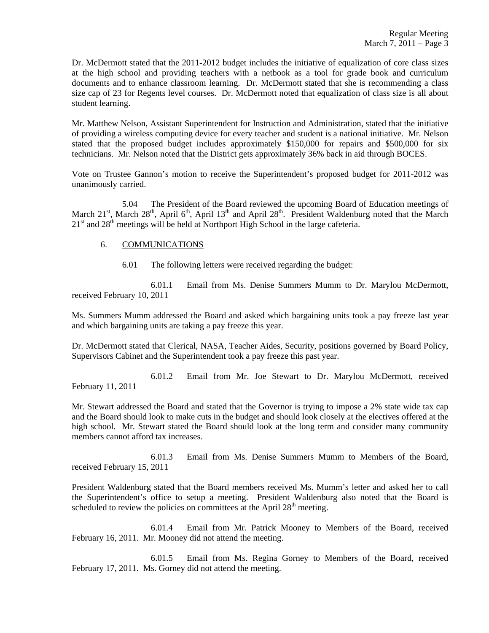Dr. McDermott stated that the 2011-2012 budget includes the initiative of equalization of core class sizes at the high school and providing teachers with a netbook as a tool for grade book and curriculum documents and to enhance classroom learning. Dr. McDermott stated that she is recommending a class size cap of 23 for Regents level courses. Dr. McDermott noted that equalization of class size is all about student learning.

Mr. Matthew Nelson, Assistant Superintendent for Instruction and Administration, stated that the initiative of providing a wireless computing device for every teacher and student is a national initiative. Mr. Nelson stated that the proposed budget includes approximately \$150,000 for repairs and \$500,000 for six technicians. Mr. Nelson noted that the District gets approximately 36% back in aid through BOCES.

Vote on Trustee Gannon's motion to receive the Superintendent's proposed budget for 2011-2012 was unanimously carried.

 5.04 The President of the Board reviewed the upcoming Board of Education meetings of March 21<sup>st</sup>, March 28<sup>th</sup>, April 6<sup>th</sup>, April 13<sup>th</sup> and April 28<sup>th</sup>. President Waldenburg noted that the March  $21<sup>st</sup>$  and  $28<sup>th</sup>$  meetings will be held at Northport High School in the large cafeteria.

### 6. COMMUNICATIONS

6.01 The following letters were received regarding the budget:

 6.01.1 Email from Ms. Denise Summers Mumm to Dr. Marylou McDermott, received February 10, 2011

Ms. Summers Mumm addressed the Board and asked which bargaining units took a pay freeze last year and which bargaining units are taking a pay freeze this year.

Dr. McDermott stated that Clerical, NASA, Teacher Aides, Security, positions governed by Board Policy, Supervisors Cabinet and the Superintendent took a pay freeze this past year.

 6.01.2 Email from Mr. Joe Stewart to Dr. Marylou McDermott, received February 11, 2011

Mr. Stewart addressed the Board and stated that the Governor is trying to impose a 2% state wide tax cap and the Board should look to make cuts in the budget and should look closely at the electives offered at the high school. Mr. Stewart stated the Board should look at the long term and consider many community members cannot afford tax increases.

 6.01.3 Email from Ms. Denise Summers Mumm to Members of the Board, received February 15, 2011

President Waldenburg stated that the Board members received Ms. Mumm's letter and asked her to call the Superintendent's office to setup a meeting. President Waldenburg also noted that the Board is scheduled to review the policies on committees at the April  $28<sup>th</sup>$  meeting.

 6.01.4 Email from Mr. Patrick Mooney to Members of the Board, received February 16, 2011. Mr. Mooney did not attend the meeting.

 6.01.5 Email from Ms. Regina Gorney to Members of the Board, received February 17, 2011. Ms. Gorney did not attend the meeting.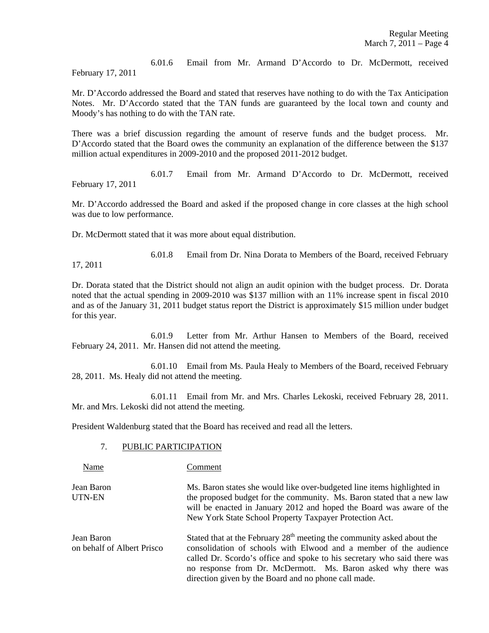6.01.6 Email from Mr. Armand D'Accordo to Dr. McDermott, received February 17, 2011

Mr. D'Accordo addressed the Board and stated that reserves have nothing to do with the Tax Anticipation Notes. Mr. D'Accordo stated that the TAN funds are guaranteed by the local town and county and Moody's has nothing to do with the TAN rate.

There was a brief discussion regarding the amount of reserve funds and the budget process. Mr. D'Accordo stated that the Board owes the community an explanation of the difference between the \$137 million actual expenditures in 2009-2010 and the proposed 2011-2012 budget.

 6.01.7 Email from Mr. Armand D'Accordo to Dr. McDermott, received February 17, 2011

Mr. D'Accordo addressed the Board and asked if the proposed change in core classes at the high school was due to low performance.

Dr. McDermott stated that it was more about equal distribution.

6.01.8 Email from Dr. Nina Dorata to Members of the Board, received February

17, 2011

Dr. Dorata stated that the District should not align an audit opinion with the budget process. Dr. Dorata noted that the actual spending in 2009-2010 was \$137 million with an 11% increase spent in fiscal 2010 and as of the January 31, 2011 budget status report the District is approximately \$15 million under budget for this year.

 6.01.9 Letter from Mr. Arthur Hansen to Members of the Board, received February 24, 2011. Mr. Hansen did not attend the meeting.

 6.01.10 Email from Ms. Paula Healy to Members of the Board, received February 28, 2011. Ms. Healy did not attend the meeting.

 6.01.11 Email from Mr. and Mrs. Charles Lekoski, received February 28, 2011. Mr. and Mrs. Lekoski did not attend the meeting.

President Waldenburg stated that the Board has received and read all the letters.

### 7. PUBLIC PARTICIPATION

Name Comment

Jean Baron Ms. Baron states she would like over-budgeted line items highlighted in UTN-EN the proposed budget for the community. Ms. Baron stated that a new law will be enacted in January 2012 and hoped the Board was aware of the New York State School Property Taxpayer Protection Act.

Jean Baron Stated that at the February  $28<sup>th</sup>$  meeting the community asked about the on behalf of Albert Prisco consolidation of schools with Elwood and a member of the audience called Dr. Scordo's office and spoke to his secretary who said there was no response from Dr. McDermott. Ms. Baron asked why there was direction given by the Board and no phone call made.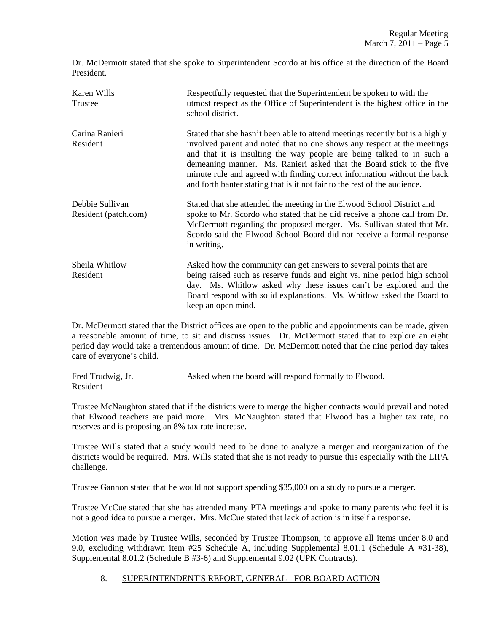Dr. McDermott stated that she spoke to Superintendent Scordo at his office at the direction of the Board President.

| Karen Wills<br>Trustee                  | Respectfully requested that the Superintendent be spoken to with the<br>utmost respect as the Office of Superintendent is the highest office in the<br>school district.                                                                                                                                                                                                                                                                                           |  |
|-----------------------------------------|-------------------------------------------------------------------------------------------------------------------------------------------------------------------------------------------------------------------------------------------------------------------------------------------------------------------------------------------------------------------------------------------------------------------------------------------------------------------|--|
| Carina Ranieri<br>Resident              | Stated that she hasn't been able to attend meetings recently but is a highly<br>involved parent and noted that no one shows any respect at the meetings<br>and that it is insulting the way people are being talked to in such a<br>demeaning manner. Ms. Ranieri asked that the Board stick to the five<br>minute rule and agreed with finding correct information without the back<br>and forth banter stating that is it not fair to the rest of the audience. |  |
| Debbie Sullivan<br>Resident (patch.com) | Stated that she attended the meeting in the Elwood School District and<br>spoke to Mr. Scordo who stated that he did receive a phone call from Dr.<br>McDermott regarding the proposed merger. Ms. Sullivan stated that Mr.<br>Scordo said the Elwood School Board did not receive a formal response<br>in writing.                                                                                                                                               |  |
| Sheila Whitlow<br>Resident              | Asked how the community can get answers to several points that are<br>being raised such as reserve funds and eight vs. nine period high school<br>day. Ms. Whitlow asked why these issues can't be explored and the<br>Board respond with solid explanations. Ms. Whitlow asked the Board to<br>keep an open mind.                                                                                                                                                |  |

Dr. McDermott stated that the District offices are open to the public and appointments can be made, given a reasonable amount of time, to sit and discuss issues. Dr. McDermott stated that to explore an eight period day would take a tremendous amount of time. Dr. McDermott noted that the nine period day takes care of everyone's child.

| Fred Trudwig, Jr. | Asked when the board will respond formally to Elwood. |
|-------------------|-------------------------------------------------------|
| Resident          |                                                       |

Trustee McNaughton stated that if the districts were to merge the higher contracts would prevail and noted that Elwood teachers are paid more. Mrs. McNaughton stated that Elwood has a higher tax rate, no reserves and is proposing an 8% tax rate increase.

Trustee Wills stated that a study would need to be done to analyze a merger and reorganization of the districts would be required. Mrs. Wills stated that she is not ready to pursue this especially with the LIPA challenge.

Trustee Gannon stated that he would not support spending \$35,000 on a study to pursue a merger.

Trustee McCue stated that she has attended many PTA meetings and spoke to many parents who feel it is not a good idea to pursue a merger. Mrs. McCue stated that lack of action is in itself a response.

Motion was made by Trustee Wills, seconded by Trustee Thompson, to approve all items under 8.0 and 9.0, excluding withdrawn item #25 Schedule A, including Supplemental 8.01.1 (Schedule A #31-38), Supplemental 8.01.2 (Schedule B #3-6) and Supplemental 9.02 (UPK Contracts).

# 8. SUPERINTENDENT'S REPORT, GENERAL - FOR BOARD ACTION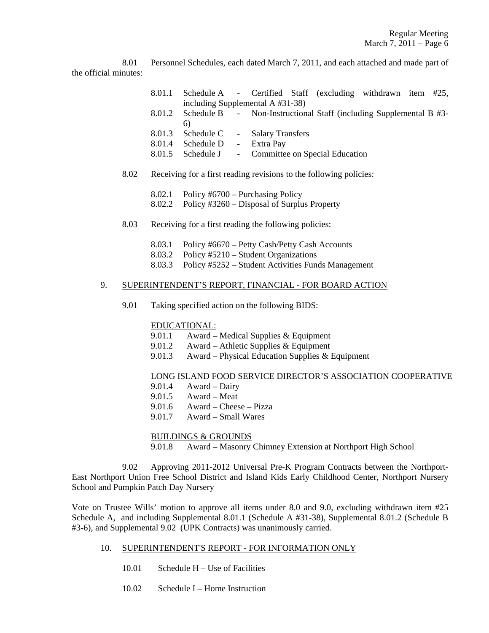8.01 Personnel Schedules, each dated March 7, 2011, and each attached and made part of the official minutes:

- 8.01.1 Schedule A Certified Staff (excluding withdrawn item #25, including Supplemental A #31-38)
- 8.01.2 Schedule B Non-Instructional Staff (including Supplemental B #3- 6)
- 8.01.3 Schedule C Salary Transfers
- 8.01.4 Schedule D Extra Pay
- 8.01.5 Schedule J Committee on Special Education
- 8.02 Receiving for a first reading revisions to the following policies:
	- 8.02.1 Policy #6700 Purchasing Policy
	- 8.02.2 Policy #3260 Disposal of Surplus Property
- 8.03 Receiving for a first reading the following policies:
	- 8.03.1 Policy #6670 Petty Cash/Petty Cash Accounts
	- 8.03.2 Policy #5210 Student Organizations
	- 8.03.3 Policy #5252 Student Activities Funds Management

## 9. SUPERINTENDENT'S REPORT, FINANCIAL - FOR BOARD ACTION

9.01 Taking specified action on the following BIDS:

### EDUCATIONAL:

- 9.01.1 Award Medical Supplies & Equipment
- 9.01.2 Award Athletic Supplies & Equipment
- 9.01.3 Award Physical Education Supplies & Equipment

### LONG ISLAND FOOD SERVICE DIRECTOR'S ASSOCIATION COOPERATIVE

- 9.01.4 Award Dairy
- 9.01.5 Award Meat
- 9.01.6 Award Cheese Pizza
- 9.01.7 Award Small Wares

### BUILDINGS & GROUNDS

9.01.8 Award – Masonry Chimney Extension at Northport High School

 9.02 Approving 2011-2012 Universal Pre-K Program Contracts between the Northport-East Northport Union Free School District and Island Kids Early Childhood Center, Northport Nursery School and Pumpkin Patch Day Nursery

Vote on Trustee Wills' motion to approve all items under 8.0 and 9.0, excluding withdrawn item #25 Schedule A, and including Supplemental 8.01.1 (Schedule A #31-38), Supplemental 8.01.2 (Schedule B #3-6), and Supplemental 9.02 (UPK Contracts) was unanimously carried.

### 10. SUPERINTENDENT'S REPORT - FOR INFORMATION ONLY

- 10.01 Schedule H Use of Facilities
- 10.02 Schedule I Home Instruction